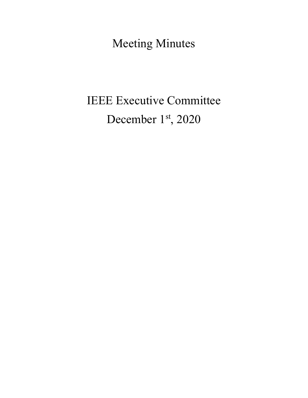Meeting Minutes

# IEEE Executive Committee December 1st, 2020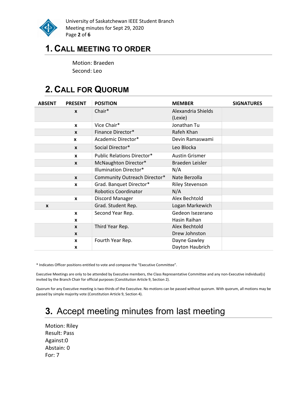

University of Saskatchewan IEEE Student Branch Meeting minutes for Sept 29, 2020 Page 2 of 6

## 1. CALL MEETING TO ORDER

Motion: Braeden Second: Leo

# 2. CALL FOR QUORUM

| <b>ABSENT</b> | <b>PRESENT</b>   | <b>POSITION</b>                   | <b>MEMBER</b>          | <b>SIGNATURES</b> |
|---------------|------------------|-----------------------------------|------------------------|-------------------|
|               | $\boldsymbol{x}$ | Chair*                            | Alexandria Shields     |                   |
|               |                  |                                   | (Lexie)                |                   |
|               | $\boldsymbol{x}$ | Vice Chair*                       | Jonathan Tu            |                   |
|               | $\mathbf{x}$     | Finance Director*                 | Rafeh Khan             |                   |
|               | $\mathbf{x}$     | Academic Director*                | Devin Ramaswami        |                   |
|               | $\mathbf{x}$     | Social Director*                  | Leo Blocka             |                   |
|               | X                | <b>Public Relations Director*</b> | <b>Austin Grismer</b>  |                   |
|               | $\mathbf{x}$     | McNaughton Director*              | Braeden Leisler        |                   |
|               |                  | <b>Illumination Director*</b>     | N/A                    |                   |
|               | $\mathbf{x}$     | Community Outreach Director*      | Nate Berzolla          |                   |
|               | X                | Grad. Banquet Director*           | <b>Riley Stevenson</b> |                   |
|               |                  | <b>Robotics Coordinator</b>       | N/A                    |                   |
|               | $\mathbf{x}$     | Discord Manager                   | Alex Bechtold          |                   |
| X             |                  | Grad. Student Rep.                | Logan Markewich        |                   |
|               | $\mathbf{x}$     | Second Year Rep.                  | Gedeon Isezerano       |                   |
|               | X                |                                   | Hasin Raihan           |                   |
|               | $\mathbf{x}$     | Third Year Rep.                   | Alex Bechtold          |                   |
|               | $\boldsymbol{x}$ |                                   | Drew Johnston          |                   |
|               | $\mathbf{x}$     | Fourth Year Rep.                  | Dayne Gawley           |                   |
|               | X                |                                   | Dayton Haubrich        |                   |

\* Indicates Officer positions entitled to vote and compose the "Executive Committee".

Executive Meetings are only to be attended by Executive members, the Class Representative Committee and any non-Executive individual(s) invited by the Branch Chair for official purposes (Constitution Article 9, Section 2).

Quorum for any Executive meeting is two-thirds of the Executive. No motions can be passed without quorum. With quorum, all motions may be passed by simple majority vote (Constitution Article 9, Section 4).

# 3. Accept meeting minutes from last meeting

Motion: Riley Result: Pass Against:0 Abstain: 0 For: 7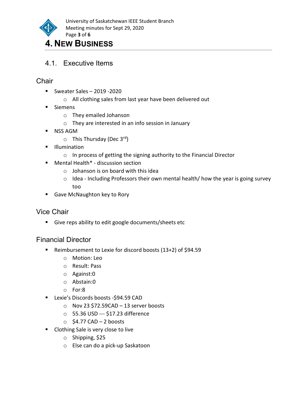

### 4. NEW BUSINESS

4.1. Executive Items

#### **Chair**

- Sweater Sales  $-2019 2020$ 
	- o All clothing sales from last year have been delivered out
- **Siemens** 
	- o They emailed Johanson
	- o They are interested in an info session in January
- **NSS AGM** 
	- $\circ$  This Thursday (Dec 3<sup>rd</sup>)
- **Illumination** 
	- o In process of getting the signing authority to the Financial Director
- Mental Health<sup>\*</sup> discussion section
	- $\circ$  Johanson is on board with this idea
	- o Idea Including Professors their own mental health/ how the year is going survey too
- Gave McNaughton key to Rory

#### Vice Chair

Give reps ability to edit google documents/sheets etc

#### Financial Director

- Reimbursement to Lexie for discord boosts (13+2) of \$94.59
	- o Motion: Leo
	- o Result: Pass
	- o Against:0
	- o Abstain:0
	- o For:8
- **Lexie's Discords boosts -\$94.59 CAD** 
	- o Nov 23 \$72.59CAD 13 server boosts
	- o 55.36 USD --- \$17.23 difference
	- $\circ$  \$4.77 CAD 2 boosts
- **Clothing Sale is very close to live** 
	- o Shipping, \$25
	- o Else can do a pick-up Saskatoon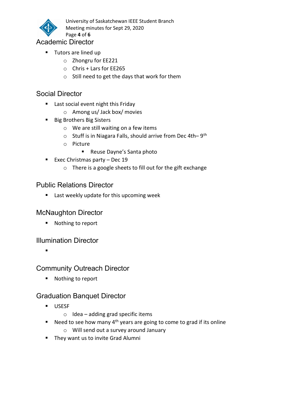

University of Saskatchewan IEEE Student Branch Meeting minutes for Sept 29, 2020

#### Academic Director

**Tutors are lined up** 

Page 4 of 6

- o Zhongru for EE221
- o Chris + Lars for EE265
- o Still need to get the days that work for them

#### Social Director

- **Last social event night this Friday** 
	- o Among us/ Jack box/ movies
- **Big Brothers Big Sisters** 
	- o We are still waiting on a few items
	- $\circ$  Stuff is in Niagara Falls, should arrive from Dec 4th–9<sup>th</sup>
	- o Picture
		- Reuse Dayne's Santa photo
- Exec Christmas party  $-$  Dec 19
	- o There is a google sheets to fill out for the gift exchange

#### Public Relations Director

**EXTERGHTM** Last weekly update for this upcoming week

#### McNaughton Director

■ Nothing to report

#### Illumination Director

Community Outreach Director

■ Nothing to report

#### Graduation Banquet Director

- **USESF** 
	- $\circ$  Idea adding grad specific items
- Need to see how many  $4^{th}$  years are going to come to grad if its online
	- o Will send out a survey around January
- They want us to invite Grad Alumni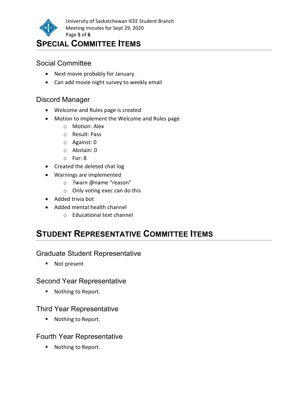

University of Saskatchewan IEEE Student Branch Meeting minutes for Sept 29, 2020 Page 5 of 6

### SPECIAL COMMITTEE ITEMS

#### Social Committee

- Next movie probably for January
- Can add movie night survey to weekly email

#### Discord Manager

- Welcome and Rules page is created
- Motion to implement the Welcome and Rules page
	- o Motion: Alex
	- o Result: Pass
	- o Against: 0
	- o Abstain: 0
	- o For: 8
- Created the deleted chat log
- Warnings are implemented
	- o ?warn @name "reason"
	- o Only voting exec can do this
- Added trivia bot
- Added mental health channel
	- o Educational text channel

# STUDENT REPRESENTATIVE COMMITTEE ITEMS

#### Graduate Student Representative

■ Not present

#### Second Year Representative

**Nothing to Report.** 

#### Third Year Representative

■ Nothing to Report.

#### Fourth Year Representative

■ Nothing to Report.